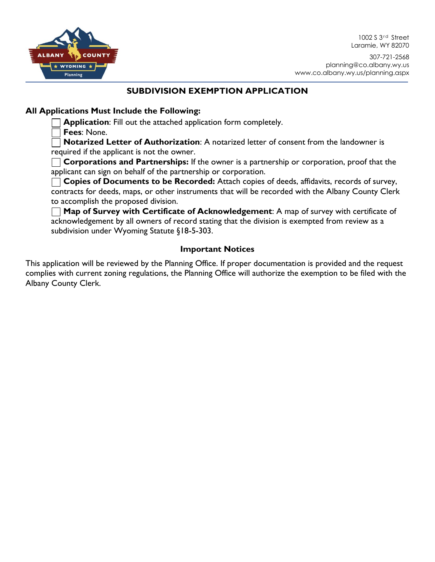

1002 S 3<sup>rd</sup> Street Laramie, WY 82070

### **SUBDIVISION EXEMPTION APPLICATION**

## **All Applications Must Include the Following:**

**Application**: Fill out the attached application form completely.

**Fees**: None.

**Notarized Letter of Authorization**: A notarized letter of consent from the landowner is required if the applicant is not the owner.

**Corporations and Partnerships:** If the owner is a partnership or corporation, proof that the applicant can sign on behalf of the partnership or corporation.

**Copies of Documents to be Recorded:** Attach copies of deeds, affidavits, records of survey, contracts for deeds, maps, or other instruments that will be recorded with the Albany County Clerk to accomplish the proposed division.

**Map of Survey with Certificate of Acknowledgement**: A map of survey with certificate of acknowledgement by all owners of record stating that the division is exempted from review as a subdivision under Wyoming Statute §18-5-303.

# **Important Notices**

This application will be reviewed by the Planning Office. If proper documentation is provided and the request complies with current zoning regulations, the Planning Office will authorize the exemption to be filed with the Albany County Clerk.